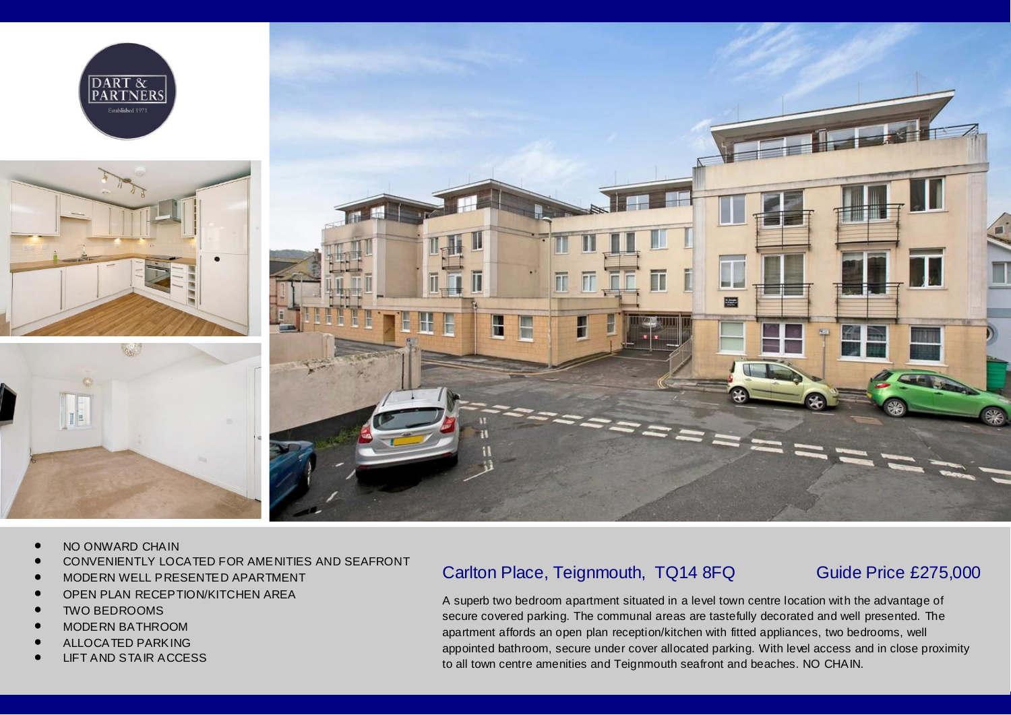







- *•* NO ONWARD CHAIN
- *•* CONVENIENTLY LOCATED FOR AMENITIES AND SEAFRONT
- *•* MODERN WELL PRESENTED APARTMENT
- *•* OPEN PLAN RECEPTION/KITCHEN AREA
- *•* TWO BEDROOMS
- *•* MODERN BATHROOM
- *•* ALLOCATED PARKING
- *•* LIFT AND STAIR ACCESS

# Carlton Place, Teignmouth, TQ14 8FQ

# Guide Price £275,000

A superb two bedroom apartment situated in a level town centre location with the advantage of secure covered parking. The communal areas are tastefully decorated and well presented. The apartment affords an open plan reception/kitchen with fitted appliances, two bedrooms, well appointed bathroom, secure under cover allocated parking. With level access and in close proximity to all town centre amenities and Teignmouth seafront and beaches. NO CHAIN.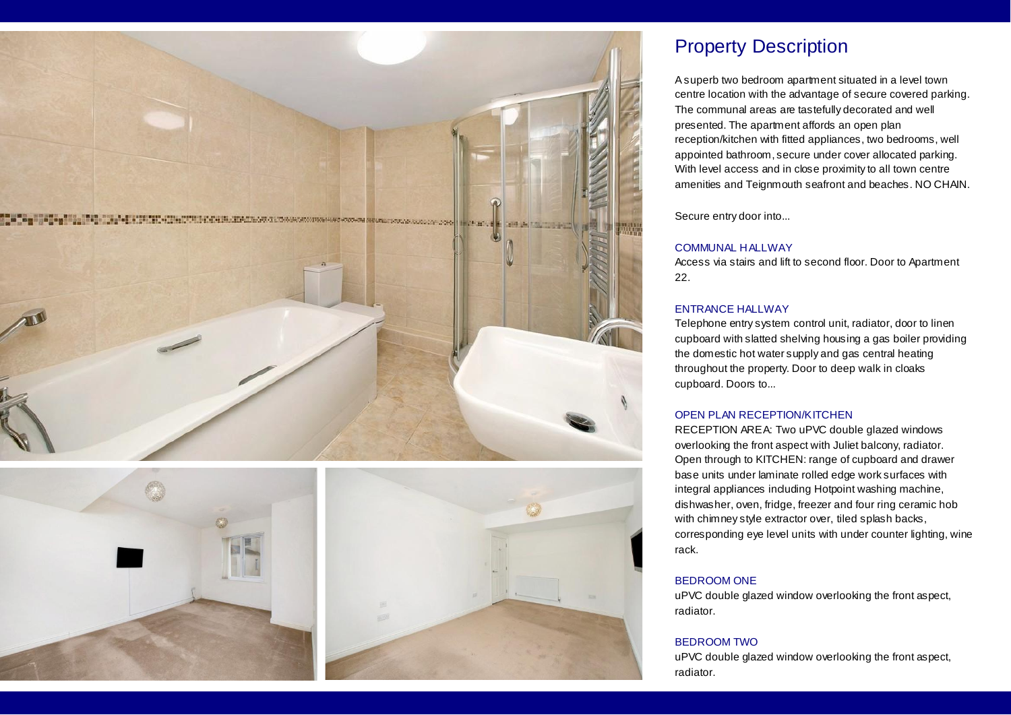



# Property Description

A superb two bedroom apartment situated in a level town centre location with the advantage of secure covered parking. The communal areas are tastefully decorated and well presented. The apartment affords an open plan reception/kitchen with fitted appliances, two bedrooms, well appointed bathroom, secure under cover allocated parking. With level access and in close proximity to all town centre amenities and Teignmouth seafront and beaches. NO CHAIN.

Secure entry door into...

### COMMUNAL HALLWAY

Access via stairs and lift to second floor. Door to Apartment 22.

### ENTRANCE HALLWAY

Telephone entry system control unit, radiator, door to linen cupboard with slatted shelving housing a gas boiler providing the domestic hot water supply and gas central heating throughout the property. Door to deep walk in cloaks cupboard. Doors to...

### OPEN PLAN RECEPTION/KITCHEN

RECEPTION AREA: Two uPVC double glazed windows overlooking the front aspect with Juliet balcony, radiator. Open through to KITCHEN: range of cupboard and drawer base units under laminate rolled edge work surfaces with integral appliances including Hotpoint washing machine, dishwasher, oven, fridge, freezer and four ring ceramic hob with chimney style extractor over, tiled splash backs, corresponding eye level units with under counter lighting, wine rack.

### BEDROOM ONE

uPVC double glazed window overlooking the front aspect, radiator.

### BEDROOM TWO

uPVC double glazed window overlooking the front aspect, radiator.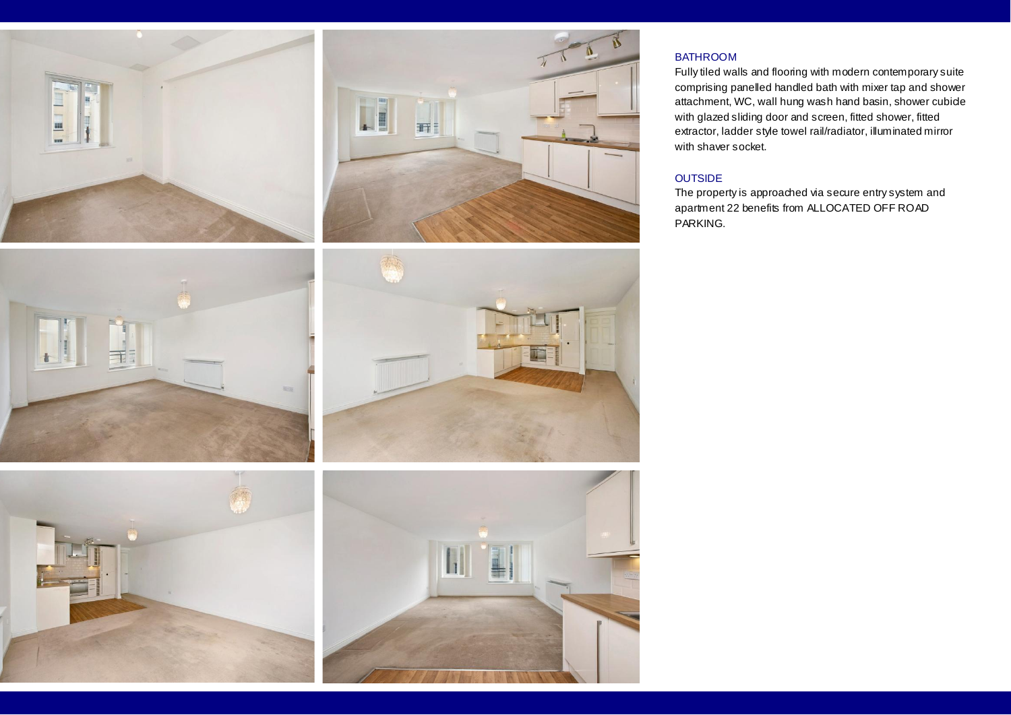





# 手





## BATHROOM

Fully tiled walls and flooring with modern contemporary suite comprising panelled handled bath with mixer tap and shower attachment, WC, wall hung wash hand basin, shower cubide with glazed sliding door and screen, fitted shower, fitted extractor, ladder style towel rail/radiator, illuminated mirror with shaver socket.

# **OUTSIDE**

The property is approached via secure entry system and apartment 22 benefits from ALLOCATED OFF ROAD PARKING.